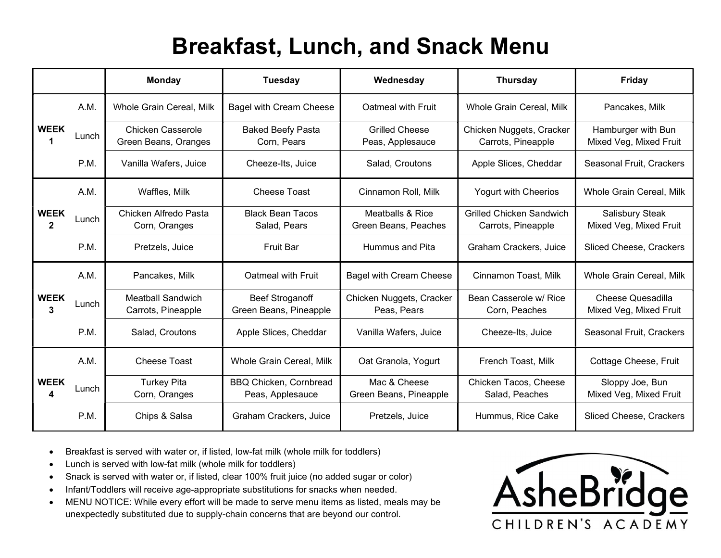## Breakfast, Lunch, and Snack Menu

|                               |       | <b>Monday</b><br><b>Tuesday</b>                  |                                                   | Wednesday                                 | <b>Thursday</b>                                       | <b>Friday</b>                                      |  |
|-------------------------------|-------|--------------------------------------------------|---------------------------------------------------|-------------------------------------------|-------------------------------------------------------|----------------------------------------------------|--|
|                               | A.M.  | Whole Grain Cereal, Milk                         | <b>Bagel with Cream Cheese</b>                    | Oatmeal with Fruit                        | <b>Whole Grain Cereal, Milk</b>                       | Pancakes, Milk                                     |  |
| <b>WEEK</b>                   | Lunch | <b>Chicken Casserole</b><br>Green Beans, Oranges | <b>Baked Beefy Pasta</b><br>Corn, Pears           | <b>Grilled Cheese</b><br>Peas, Applesauce | Chicken Nuggets, Cracker<br>Carrots, Pineapple        | Hamburger with Bun<br>Mixed Veg, Mixed Fruit       |  |
|                               | P.M.  | Vanilla Wafers, Juice                            | Cheeze-Its, Juice                                 | Salad, Croutons                           | Apple Slices, Cheddar                                 | Seasonal Fruit, Crackers                           |  |
| <b>WEEK</b><br>$\overline{2}$ | A.M.  | Waffles, Milk                                    | Cheese Toast                                      | Cinnamon Roll, Milk                       | Yogurt with Cheerios                                  | Whole Grain Cereal, Milk                           |  |
|                               | Lunch | Chicken Alfredo Pasta<br>Corn, Oranges           | <b>Black Bean Tacos</b><br>Salad, Pears           | Meatballs & Rice<br>Green Beans, Peaches  | <b>Grilled Chicken Sandwich</b><br>Carrots, Pineapple | Salisbury Steak<br>Mixed Veg, Mixed Fruit          |  |
|                               | P.M.  | Pretzels, Juice                                  | <b>Fruit Bar</b>                                  | Hummus and Pita                           | Graham Crackers, Juice                                | Sliced Cheese, Crackers                            |  |
| <b>WEEK</b><br>3              | A.M.  | Pancakes, Milk                                   | Oatmeal with Fruit                                | <b>Bagel with Cream Cheese</b>            | Cinnamon Toast, Milk                                  | Whole Grain Cereal, Milk                           |  |
|                               | Lunch | <b>Meatball Sandwich</b><br>Carrots, Pineapple   | <b>Beef Stroganoff</b><br>Green Beans, Pineapple  | Chicken Nuggets, Cracker<br>Peas, Pears   | Bean Casserole w/ Rice<br>Corn, Peaches               | <b>Cheese Quesadilla</b><br>Mixed Veg, Mixed Fruit |  |
|                               | P.M.  | Salad, Croutons                                  | Apple Slices, Cheddar                             | Vanilla Wafers, Juice                     | Cheeze-Its, Juice                                     | Seasonal Fruit, Crackers                           |  |
| <b>WEEK</b><br>4              | A.M.  | <b>Cheese Toast</b>                              | Whole Grain Cereal, Milk                          | Oat Granola, Yogurt                       | French Toast, Milk                                    | Cottage Cheese, Fruit                              |  |
|                               | Lunch | <b>Turkey Pita</b><br>Corn, Oranges              | <b>BBQ Chicken, Cornbread</b><br>Peas, Applesauce | Mac & Cheese<br>Green Beans, Pineapple    | Chicken Tacos, Cheese<br>Salad, Peaches               | Sloppy Joe, Bun<br>Mixed Veg, Mixed Fruit          |  |
|                               | P.M.  | Chips & Salsa                                    | Graham Crackers, Juice                            | Pretzels, Juice                           | Hummus, Rice Cake                                     | Sliced Cheese, Crackers                            |  |

- Breakfast is served with water or, if listed, low-fat milk (whole milk for toddlers)
- Lunch is served with low-fat milk (whole milk for toddlers)
- Snack is served with water or, if listed, clear 100% fruit juice (no added sugar or color)
- Infant/Toddlers will receive age-appropriate substitutions for snacks when needed.
- MENU NOTICE: While every effort will be made to serve menu items as listed, meals may be unexpectedly substituted due to supply-chain concerns that are beyond our control.